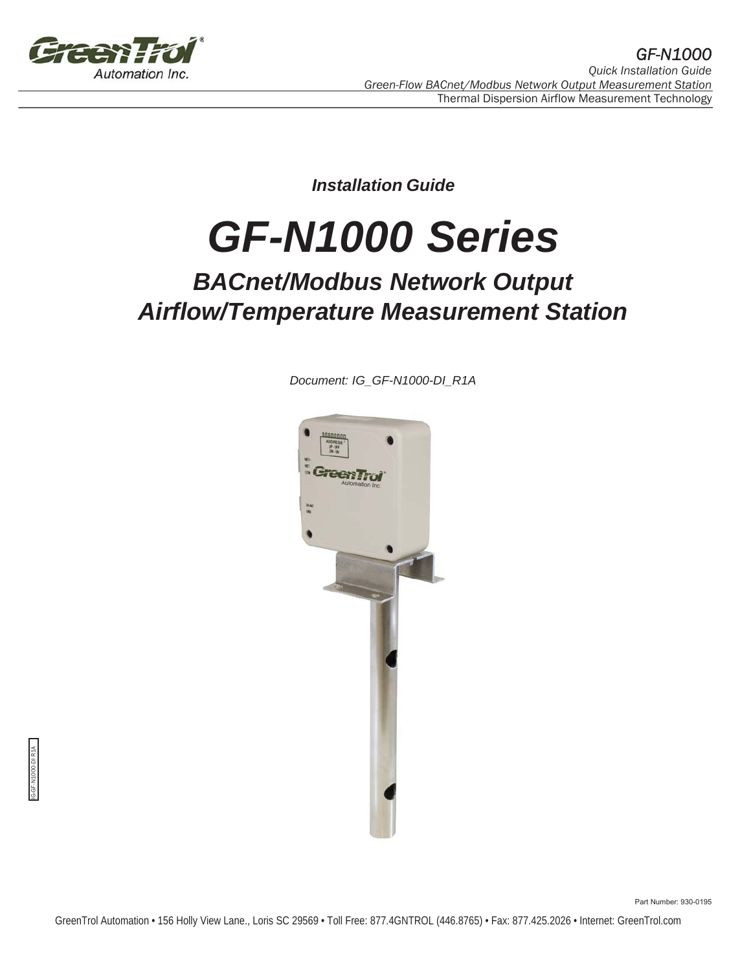

*Installation Guide*

# *GF-N1000 Series*

# *BACnet/Modbus Network Output Airflow/Temperature Measurement Station*

*Document: IG\_GF-N1000-DI\_R1A*



IG-GF-N1000-DI R1A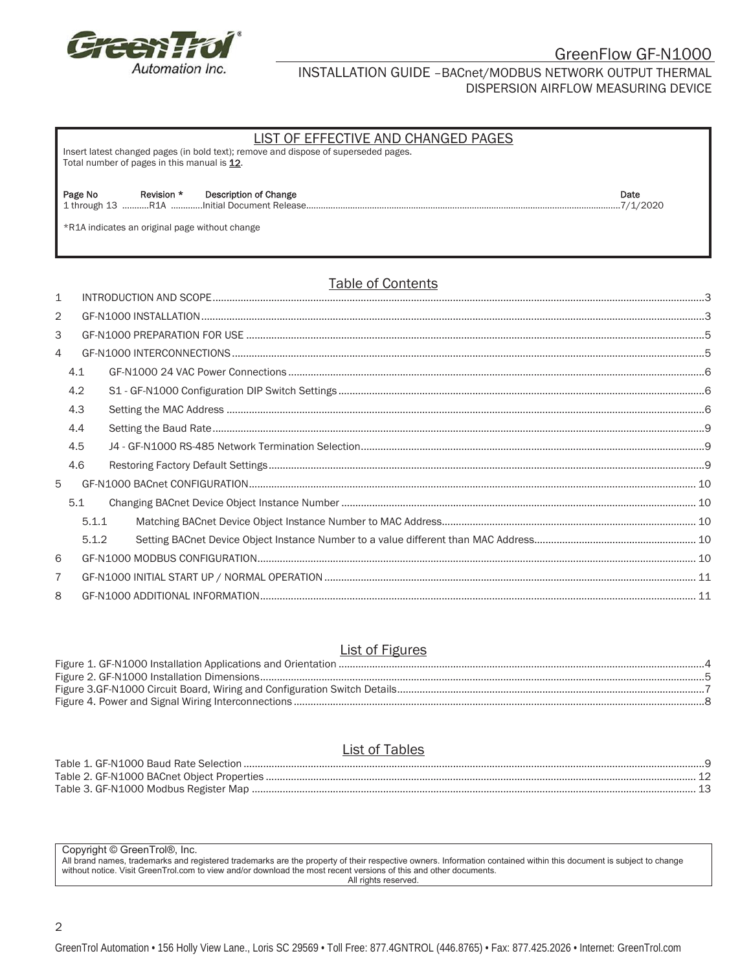

#### INSTALLATION GUIDE –BACnet/MODBUS NETWORK OUTPUT THERMAL DISPERSION AIRFLOW MEASURING DEVICE

| LIST OF EFFECTIVE AND CHANGED PAGES<br>Insert latest changed pages (in bold text); remove and dispose of superseded pages.<br>Total number of pages in this manual is 12. |                           |  |  |  |  |  |
|---------------------------------------------------------------------------------------------------------------------------------------------------------------------------|---------------------------|--|--|--|--|--|
| Page No<br>Revision *<br>Description of Change<br>*R1A indicates an original page without change                                                                          | Date<br>$\ldots$ 7/1/2020 |  |  |  |  |  |
| $\overline{\mathbf{T}}$ . It is a contracted in the contraction of $\mathbf{A}$                                                                                           |                           |  |  |  |  |  |

### Table of Contents

| $\mathbf{1}$ |     |       |  |  |  |  |  |
|--------------|-----|-------|--|--|--|--|--|
| 2            |     |       |  |  |  |  |  |
| 3            |     |       |  |  |  |  |  |
| 4            |     |       |  |  |  |  |  |
|              | 4.1 |       |  |  |  |  |  |
|              | 4.2 |       |  |  |  |  |  |
|              | 4.3 |       |  |  |  |  |  |
|              | 4.4 |       |  |  |  |  |  |
|              | 4.5 |       |  |  |  |  |  |
|              | 4.6 |       |  |  |  |  |  |
| 5            |     |       |  |  |  |  |  |
|              | 5.1 |       |  |  |  |  |  |
|              |     | 5.1.1 |  |  |  |  |  |
|              |     | 5.1.2 |  |  |  |  |  |
| 6            |     |       |  |  |  |  |  |
| 7            |     |       |  |  |  |  |  |
| 8            |     |       |  |  |  |  |  |

#### List of Figures

#### List of Tables

Copyright © GreenTrol®, Inc.

All brand names, trademarks and registered trademarks are the property of their respective owners. Information contained within this document is subject to change without notice. Visit GreenTrol.com to view and/or download the most recent versions of this and other documents. All rights reserved.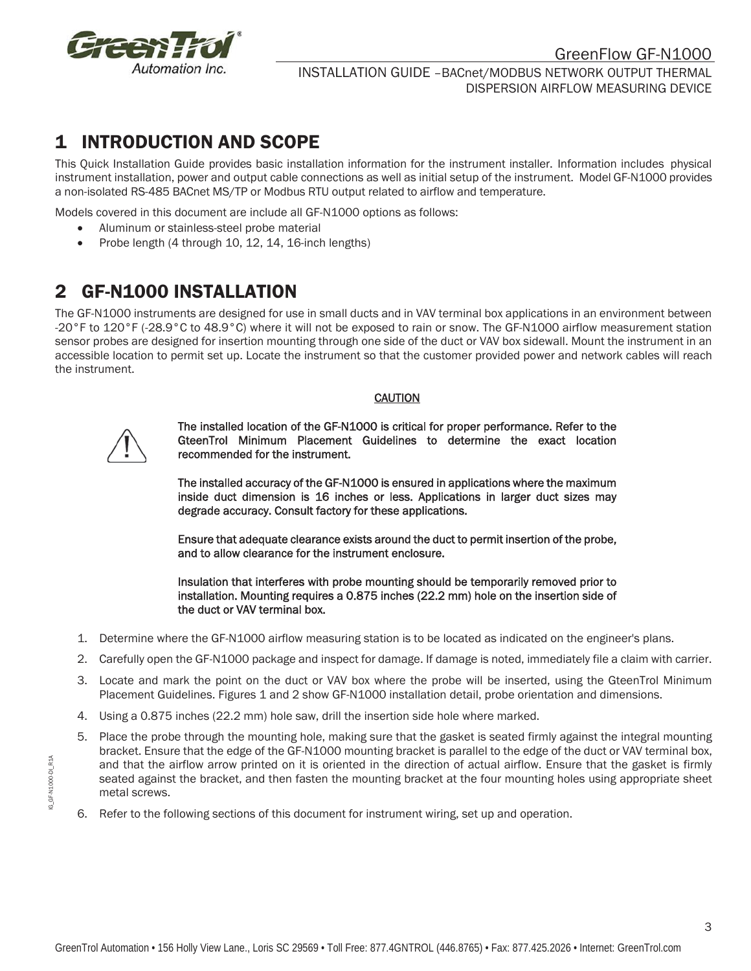

### 1 INTRODUCTION AND SCOPE

This Quick Installation Guide provides basic installation information for the instrument installer. Information includes physical instrument installation, power and output cable connections as well as initial setup of the instrument. Model GF-N1000 provides a non-isolated RS-485 BACnet MS/TP or Modbus RTU output related to airflow and temperature.

Models covered in this document are include all GF-N1000 options as follows:

- Aluminum or stainless-steel probe material
- Probe length (4 through 10, 12, 14, 16-inch lengths)

# 2 GF-N1000 INSTALLATION

The GF-N1000 instruments are designed for use in small ducts and in VAV terminal box applications in an environment between -20°F to 120°F (-28.9°C to 48.9°C) where it will not be exposed to rain or snow. The GF-N1000 airflow measurement station sensor probes are designed for insertion mounting through one side of the duct or VAV box sidewall. Mount the instrument in an accessible location to permit set up. Locate the instrument so that the customer provided power and network cables will reach the instrument.

#### CAUTION



The installed location of the GF-N1000 is critical for proper performance. Refer to the GteenTrol Minimum Placement Guidelines to determine the exact location recommended for the instrument.

The installed accuracy of the GF-N1000 is ensured in applications where the maximum inside duct dimension is 16 inches or less. Applications in larger duct sizes may degrade accuracy. Consult factory for these applications.

Ensure that adequate clearance exists around the duct to permit insertion of the probe, and to allow clearance for the instrument enclosure.

Insulation that interferes with probe mounting should be temporarily removed prior to installation. Mounting requires a 0.875 inches (22.2 mm) hole on the insertion side of the duct or VAV terminal box.

- 1. Determine where the GF-N1000 airflow measuring station is to be located as indicated on the engineer's plans.
- 2. Carefully open the GF-N1000 package and inspect for damage. If damage is noted, immediately file a claim with carrier.
- 3. Locate and mark the point on the duct or VAV box where the probe will be inserted, using the GteenTrol Minimum Placement Guidelines. Figures 1 and 2 show GF-N1000 installation detail, probe orientation and dimensions.
- 4. Using a 0.875 inches (22.2 mm) hole saw, drill the insertion side hole where marked.
- 5. Place the probe through the mounting hole, making sure that the gasket is seated firmly against the integral mounting bracket. Ensure that the edge of the GF-N1000 mounting bracket is parallel to the edge of the duct or VAV terminal box, and that the airflow arrow printed on it is oriented in the direction of actual airflow. Ensure that the gasket is firmly seated against the bracket, and then fasten the mounting bracket at the four mounting holes using appropriate sheet metal screws.
- 6. Refer to the following sections of this document for instrument wiring, set up and operation.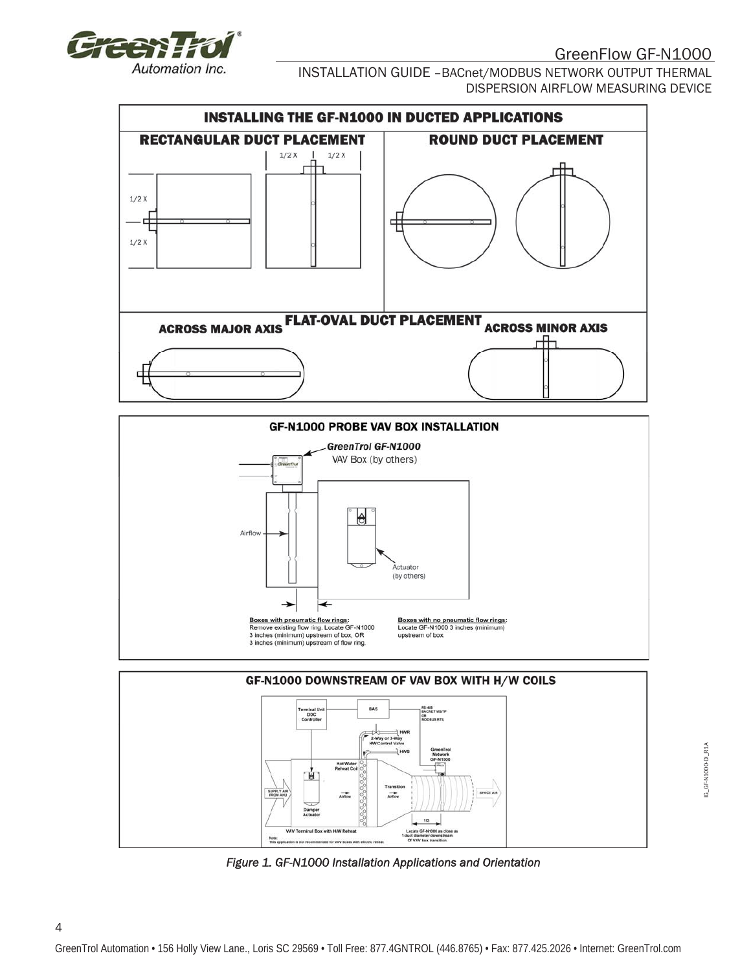

4

INSTALLATION GUIDE –BACnet/MODBUS NETWORK OUTPUT THERMAL DISPERSION AIRFLOW MEASURING DEVICE







*Figure 1. GF-N1000 Installation Applications and Orientation* 

IG\_GF-N1000-DI\_R1A IG\_GF-N1000-DI\_R1A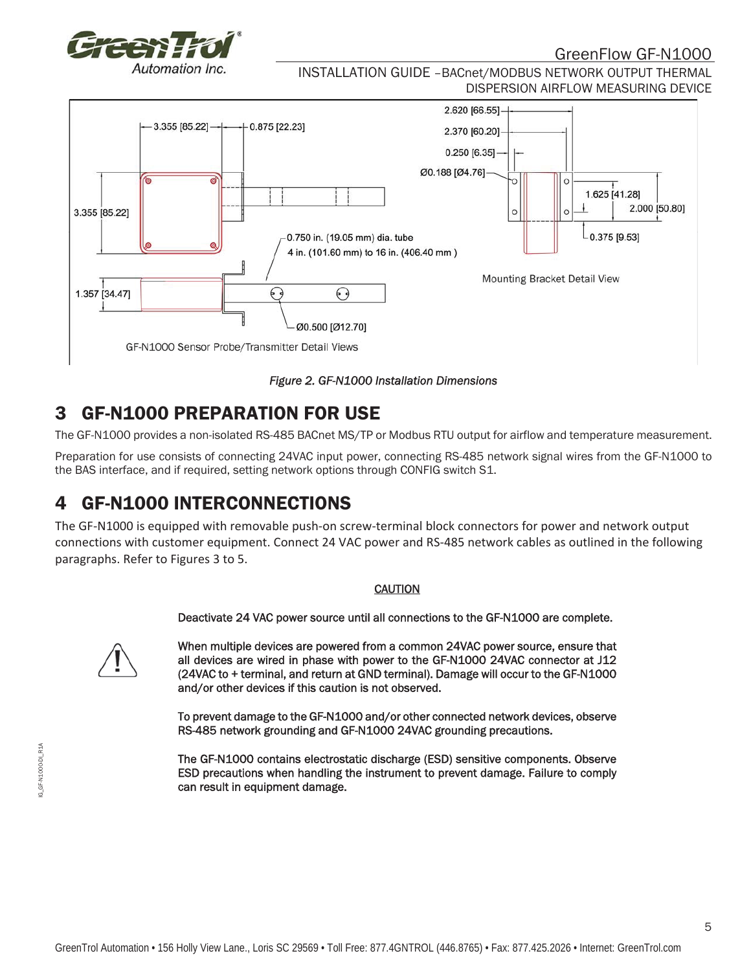

INSTALLATION GUIDE –BACnet/MODBUS NETWORK OUTPUT THERMAL DISPERSION AIRFLOW MEASURING DEVICE



*Figure 2. GF-N1000 Installation Dimensions* 

# 3 GF-N1000 PREPARATION FOR USE

The GF-N1000 provides a non-isolated RS-485 BACnet MS/TP or Modbus RTU output for airflow and temperature measurement.

Preparation for use consists of connecting 24VAC input power, connecting RS-485 network signal wires from the GF-N1000 to the BAS interface, and if required, setting network options through CONFIG switch S1.

# 4 GF-N1000 INTERCONNECTIONS

The GF-N1000 is equipped with removable push-on screw-terminal block connectors for power and network output connections with customer equipment. Connect 24 VAC power and RS-485 network cables as outlined in the following paragraphs. Refer to Figures 3 to 5.

#### **CAUTION**

Deactivate 24 VAC power source until all connections to the GF-N1000 are complete.

When multiple devices are powered from a common 24VAC power source, ensure that all devices are wired in phase with power to the GF-N1000 24VAC connector at J12 (24VAC to + terminal, and return at GND terminal). Damage will occur to the GF-N1000 and/or other devices if this caution is not observed.

To prevent damage to the GF-N1000 and/or other connected network devices, observe RS-485 network grounding and GF-N1000 24VAC grounding precautions.

The GF-N1000 contains electrostatic discharge (ESD) sensitive components. Observe ESD precautions when handling the instrument to prevent damage. Failure to comply can result in equipment damage.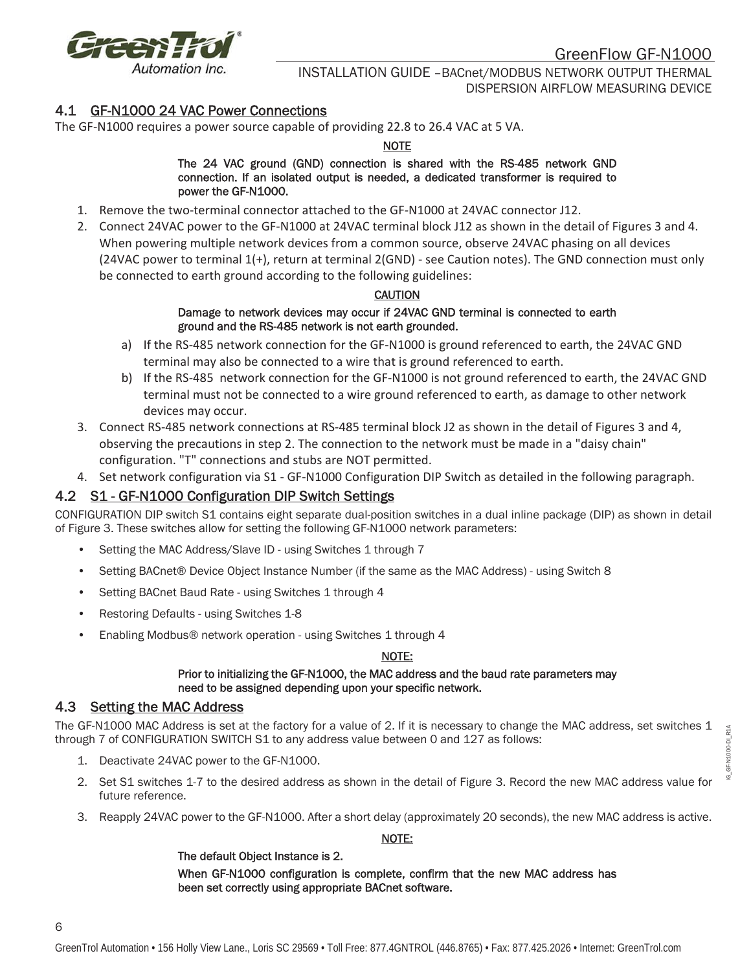

#### 4.1 GF-N1000 24 VAC Power Connections

The GF-N1000 requires a power source capable of providing 22.8 to 26.4 VAC at 5 VA.

#### NOTE

#### The 24 VAC ground (GND) connection is shared with the RS-485 network GND connection. If an isolated output is needed, a dedicated transformer is required to power the GF-N1000.

- 1. Remove the two-terminal connector attached to the GF-N1000 at 24VAC connector J12.
- 2. Connect 24VAC power to the GF-N1000 at 24VAC terminal block J12 as shown in the detail of Figures 3 and 4. When powering multiple network devices from a common source, observe 24VAC phasing on all devices (24VAC power to terminal 1(+), return at terminal 2(GND) - see Caution notes). The GND connection must only be connected to earth ground according to the following guidelines:

#### CAUTION

#### Damage to network devices may occur if 24VAC GND terminal is connected to earth ground and the RS-485 network is not earth grounded.

- a) If the RS-485 network connection for the GF-N1000 is ground referenced to earth, the 24VAC GND terminal may also be connected to a wire that is ground referenced to earth.
- b) If the RS-485 network connection for the GF-N1000 is not ground referenced to earth, the 24VAC GND terminal must not be connected to a wire ground referenced to earth, as damage to other network devices may occur.
- 3. Connect RS-485 network connections at RS-485 terminal block J2 as shown in the detail of Figures 3 and 4, observing the precautions in step 2. The connection to the network must be made in a "daisy chain" configuration. "T" connections and stubs are NOT permitted.
- 4. Set network configuration via S1 GF-N1000 Configuration DIP Switch as detailed in the following paragraph.

#### 4.2 S1 - GF-N1000 Configuration DIP Switch Settings

CONFIGURATION DIP switch S1 contains eight separate dual-position switches in a dual inline package (DIP) as shown in detail of Figure 3. These switches allow for setting the following GF-N1000 network parameters:

- Setting the MAC Address/Slave ID using Switches 1 through 7
- Setting BACnet® Device Object Instance Number (if the same as the MAC Address) using Switch 8
- Setting BACnet Baud Rate using Switches 1 through 4
- Restoring Defaults using Switches 1-8
- Enabling Modbus® network operation using Switches 1 through 4

#### NOTE:

#### Prior to initializing the GF-N1000, the MAC address and the baud rate parameters may need to be assigned depending upon your specific network.

#### 4.3 Setting the MAC Address

The GF-N1000 MAC Address is set at the factory for a value of 2. If it is necessary to change the MAC address, set switches 1 through 7 of CONFIGURATION SWITCH S1 to any address value between 0 and 127 as follows:

- 1. Deactivate 24VAC power to the GF-N1000.
- 2. Set S1 switches 1-7 to the desired address as shown in the detail of Figure 3. Record the new MAC address value for future reference.
- 3. Reapply 24VAC power to the GF-N1000. After a short delay (approximately 20 seconds), the new MAC address is active.

#### NOTE:

#### The default Object Instance is 2.

When GF-N1000 configuration is complete, confirm that the new MAC address has been set correctly using appropriate BACnet software.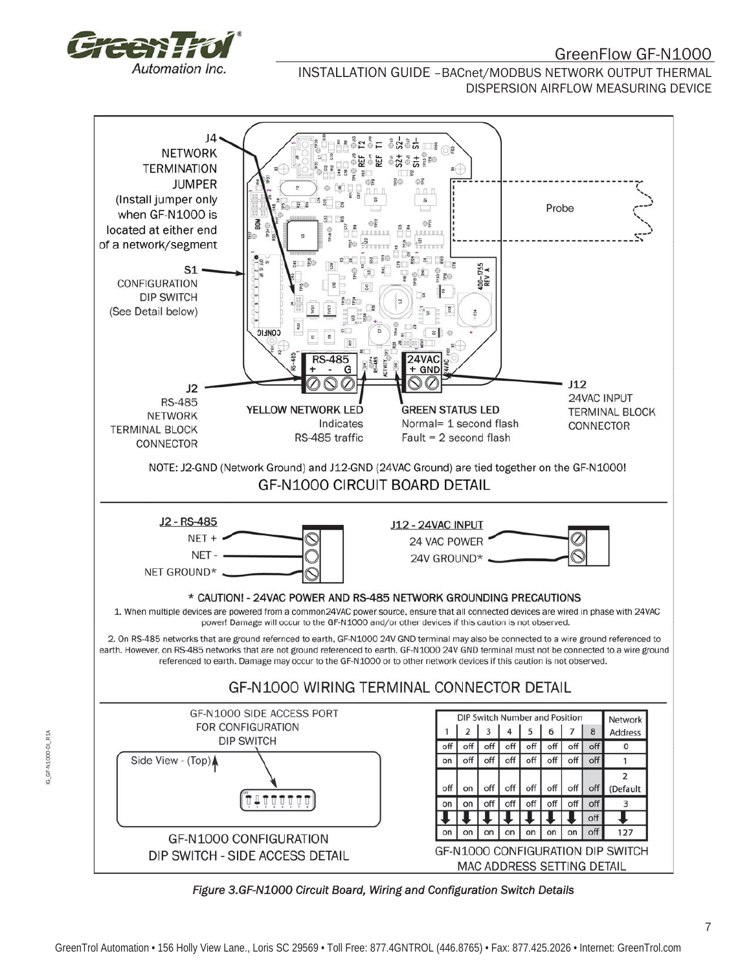

INSTALLATION GUIDE –BACnet/MODBUS NETWORK OUTPUT THERMAL DISPERSION AIRFLOW MEASURING DEVICE



*Figure 3.GF-N1000 Circuit Board, Wiring and Configuration Switch Details*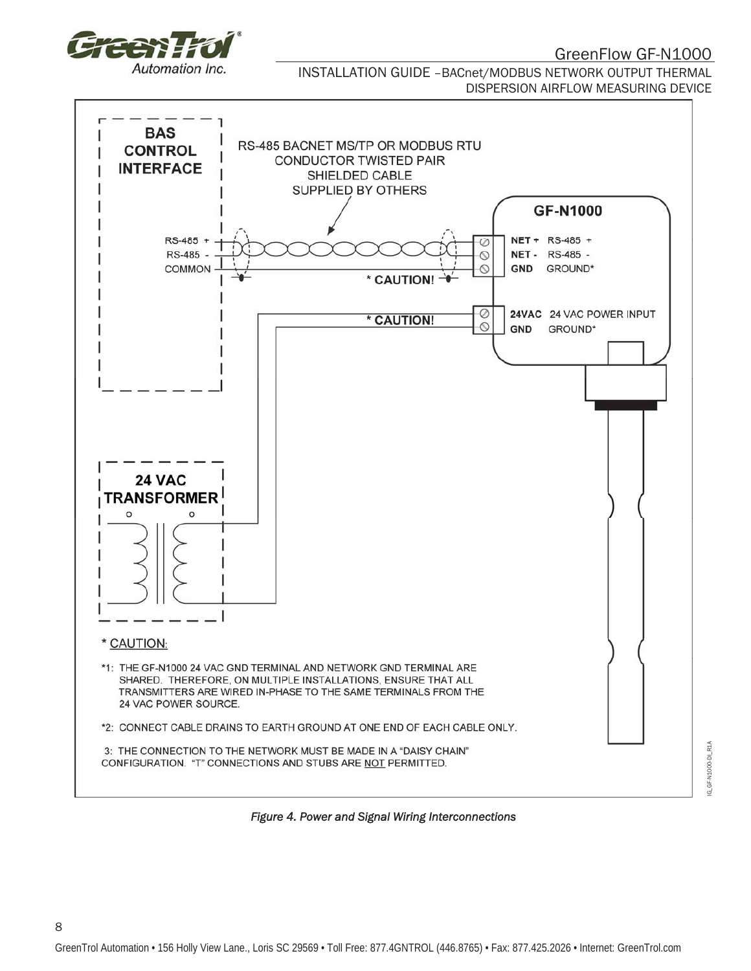

8

INSTALLATION GUIDE –BACnet/MODBUS NETWORK OUTPUT THERMAL DISPERSION AIRFLOW MEASURING DEVICE



*Figure 4. Power and Signal Wiring Interconnections* 

G\_GF-N1000-DI\_R1A IG\_GF-N1000-DI\_R1A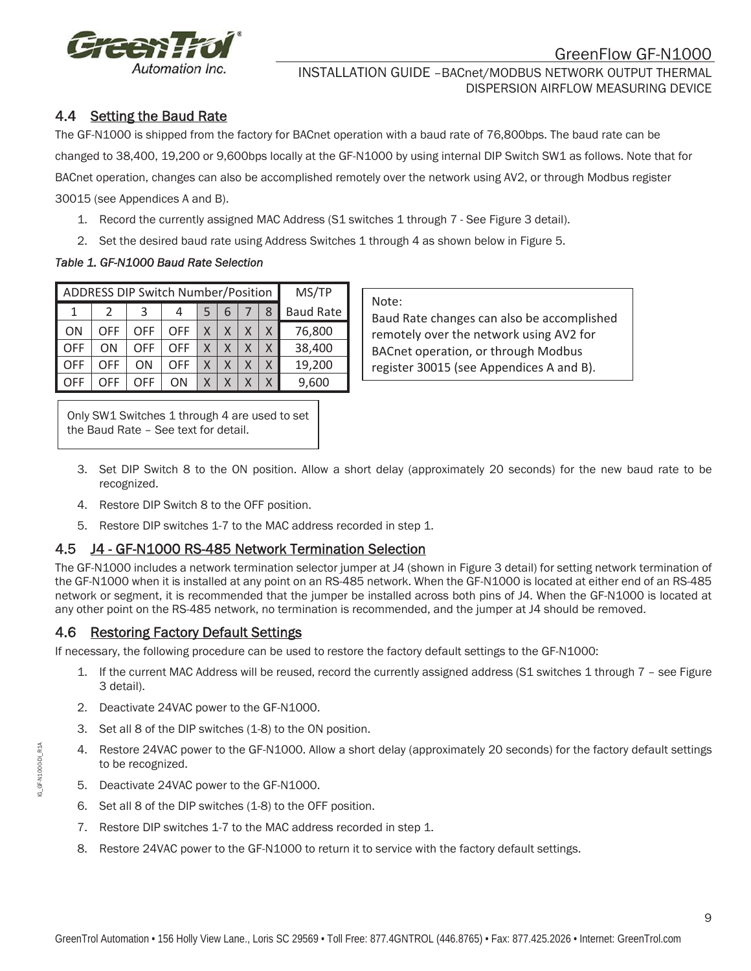

### 4.4 Setting the Baud Rate

The GF-N1000 is shipped from the factory for BACnet operation with a baud rate of 76,800bps. The baud rate can be changed to 38,400, 19,200 or 9,600bps locally at the GF-N1000 by using internal DIP Switch SW1 as follows. Note that for BACnet operation, changes can also be accomplished remotely over the network using AV2, or through Modbus register 30015 (see Appendices A and B).

- 1. Record the currently assigned MAC Address (S1 switches 1 through 7 See Figure 3 detail).
- 2. Set the desired baud rate using Address Switches 1 through 4 as shown below in Figure 5.

#### *Table 1. GF-N1000 Baud Rate Selection*

| <b>ADDRESS DIP Switch Number/Position</b> |     |     |     |   |   |  | MS/TP |                  |
|-------------------------------------------|-----|-----|-----|---|---|--|-------|------------------|
|                                           |     | 3   |     |   | 6 |  | 8     | <b>Baud Rate</b> |
| ΟN                                        | OFF | OFF | OFF | Χ | Χ |  | X     | 76,800           |
| OFF                                       | ΟN  | OFF | OFF | X |   |  | X     | 38,400           |
| DFF                                       | OFF | ΟN  | OFF | Χ |   |  | X     | 19,200           |
| )FF                                       | OFF | OFF | OΝ  | X |   |  | Χ     | 9,600            |

Note:

Baud Rate changes can also be accomplished remotely over the network using AV2 for BACnet operation, or through Modbus register 30015 (see Appendices A and B).

Only SW1 Switches 1 through 4 are used to set the Baud Rate – See text for detail.

- 3. Set DIP Switch 8 to the ON position. Allow a short delay (approximately 20 seconds) for the new baud rate to be recognized.
- 4. Restore DIP Switch 8 to the OFF position.
- 5. Restore DIP switches 1-7 to the MAC address recorded in step 1.

### 4.5 J4 - GF-N1000 RS-485 Network Termination Selection

The GF-N1000 includes a network termination selector jumper at J4 (shown in Figure 3 detail) for setting network termination of the GF-N1000 when it is installed at any point on an RS-485 network. When the GF-N1000 is located at either end of an RS-485 network or segment, it is recommended that the jumper be installed across both pins of J4. When the GF-N1000 is located at any other point on the RS-485 network, no termination is recommended, and the jumper at J4 should be removed.

### 4.6 Restoring Factory Default Settings

If necessary, the following procedure can be used to restore the factory default settings to the GF-N1000:

- 1. If the current MAC Address will be reused, record the currently assigned address (S1 switches 1 through 7 see Figure 3 detail).
- 2. Deactivate 24VAC power to the GF-N1000.
- 3. Set all 8 of the DIP switches (1-8) to the ON position.
- 4. Restore 24VAC power to the GF-N1000. Allow a short delay (approximately 20 seconds) for the factory default settings to be recognized.
- 5. Deactivate 24VAC power to the GF-N1000.
- 6. Set all 8 of the DIP switches (1-8) to the OFF position.
- 7. Restore DIP switches 1-7 to the MAC address recorded in step 1.
- 8. Restore 24VAC power to the GF-N1000 to return it to service with the factory default settings.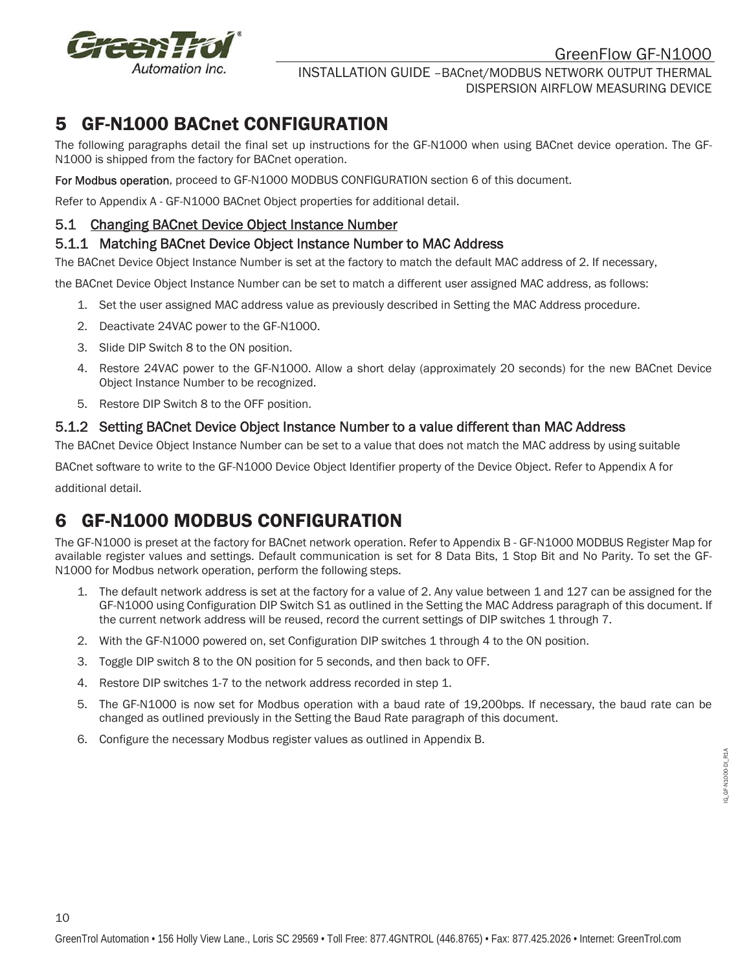

INSTALLATION GUIDE –BACnet/MODBUS NETWORK OUTPUT THERMAL DISPERSION AIRFLOW MEASURING DEVICE

### 5 GF-N1000 BACnet CONFIGURATION

The following paragraphs detail the final set up instructions for the GF-N1000 when using BACnet device operation. The GF-N1000 is shipped from the factory for BACnet operation.

For Modbus operation, proceed to GF-N1000 MODBUS CONFIGURATION section 6 of this document.

Refer to Appendix A - GF-N1000 BACnet Object properties for additional detail.

#### 5.1 Changing BACnet Device Object Instance Number

#### 5.1.1 Matching BACnet Device Object Instance Number to MAC Address

The BACnet Device Object Instance Number is set at the factory to match the default MAC address of 2. If necessary,

the BACnet Device Object Instance Number can be set to match a different user assigned MAC address, as follows:

- 1. Set the user assigned MAC address value as previously described in Setting the MAC Address procedure.
- 2. Deactivate 24VAC power to the GF-N1000.
- 3. Slide DIP Switch 8 to the ON position.
- 4. Restore 24VAC power to the GF-N1000. Allow a short delay (approximately 20 seconds) for the new BACnet Device Object Instance Number to be recognized.
- 5. Restore DIP Switch 8 to the OFF position.

#### 5.1.2 Setting BACnet Device Object Instance Number to a value different than MAC Address

The BACnet Device Object Instance Number can be set to a value that does not match the MAC address by using suitable

BACnet software to write to the GF-N1000 Device Object Identifier property of the Device Object. Refer to Appendix A for additional detail.

# 6 GF-N1000 MODBUS CONFIGURATION

The GF-N1000 is preset at the factory for BACnet network operation. Refer to Appendix B - GF-N1000 MODBUS Register Map for available register values and settings. Default communication is set for 8 Data Bits, 1 Stop Bit and No Parity. To set the GF-N1000 for Modbus network operation, perform the following steps.

- 1. The default network address is set at the factory for a value of 2. Any value between 1 and 127 can be assigned for the GF-N1000 using Configuration DIP Switch S1 as outlined in the Setting the MAC Address paragraph of this document. If the current network address will be reused, record the current settings of DIP switches 1 through 7.
- 2. With the GF-N1000 powered on, set Configuration DIP switches 1 through 4 to the ON position.
- 3. Toggle DIP switch 8 to the ON position for 5 seconds, and then back to OFF.
- 4. Restore DIP switches 1-7 to the network address recorded in step 1.
- 5. The GF-N1000 is now set for Modbus operation with a baud rate of 19,200bps. If necessary, the baud rate can be changed as outlined previously in the Setting the Baud Rate paragraph of this document.
- 6. Configure the necessary Modbus register values as outlined in Appendix B.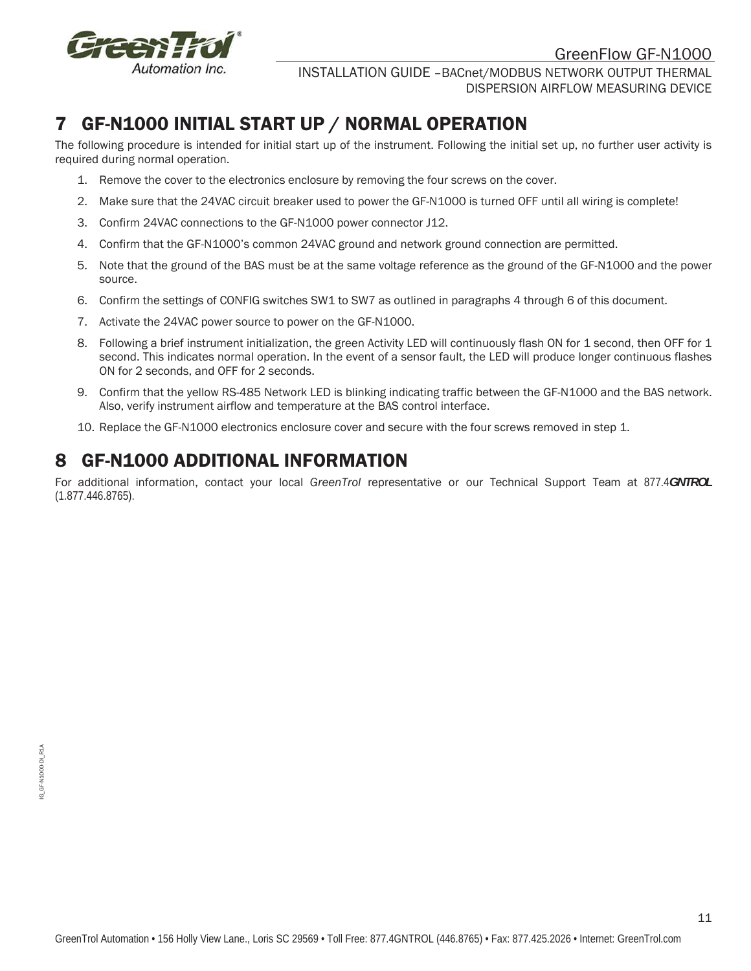

INSTALLATION GUIDE –BACnet/MODBUS NETWORK OUTPUT THERMAL DISPERSION AIRFLOW MEASURING DEVICE

# 7 GF-N1000 INITIAL START UP / NORMAL OPERATION

The following procedure is intended for initial start up of the instrument. Following the initial set up, no further user activity is required during normal operation.

- 1. Remove the cover to the electronics enclosure by removing the four screws on the cover.
- 2. Make sure that the 24VAC circuit breaker used to power the GF-N1000 is turned OFF until all wiring is complete!
- 3. Confirm 24VAC connections to the GF-N1000 power connector J12.
- 4. Confirm that the GF-N1000's common 24VAC ground and network ground connection are permitted.
- 5. Note that the ground of the BAS must be at the same voltage reference as the ground of the GF-N1000 and the power source.
- 6. Confirm the settings of CONFIG switches SW1 to SW7 as outlined in paragraphs 4 through 6 of this document.
- 7. Activate the 24VAC power source to power on the GF-N1000.
- 8. Following a brief instrument initialization, the green Activity LED will continuously flash ON for 1 second, then OFF for 1 second. This indicates normal operation. In the event of a sensor fault, the LED will produce longer continuous flashes ON for 2 seconds, and OFF for 2 seconds.
- 9. Confirm that the yellow RS-485 Network LED is blinking indicating traffic between the GF-N1000 and the BAS network. Also, verify instrument airflow and temperature at the BAS control interface.
- 10. Replace the GF-N1000 electronics enclosure cover and secure with the four screws removed in step 1.

# 8 GF-N1000 ADDITIONAL INFORMATION

For additional information, contact your local *GreenTrol* representative or our Technical Support Team at 877.4*GNTROL*  (1.877.446.8765).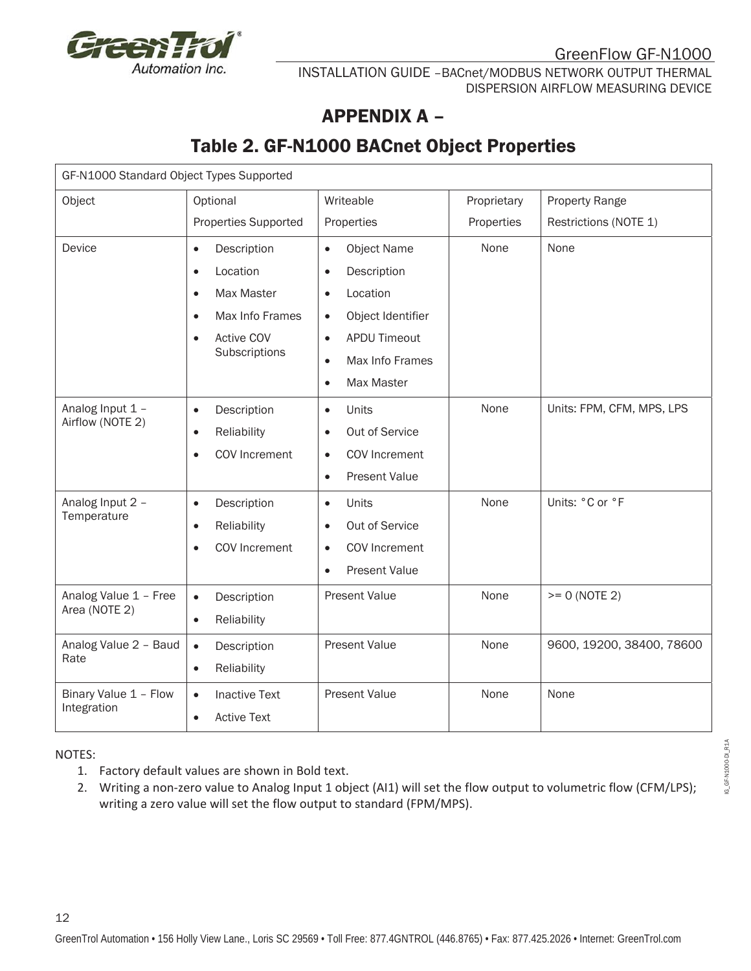

# APPENDIX A –

# Table 2. GF-N1000 BACnet Object Properties

| GF-N1000 Standard Object Types Supported                                                       |                                                                                                              |                                                                                                                        |             |                           |
|------------------------------------------------------------------------------------------------|--------------------------------------------------------------------------------------------------------------|------------------------------------------------------------------------------------------------------------------------|-------------|---------------------------|
| Object                                                                                         | Optional                                                                                                     | Writeable                                                                                                              | Proprietary | Property Range            |
|                                                                                                | <b>Properties Supported</b>                                                                                  | Properties                                                                                                             | Properties  | Restrictions (NOTE 1)     |
| Device                                                                                         | Description<br>$\bullet$<br>Location<br>$\bullet$<br>Max Master<br>$\bullet$<br>Max Info Frames<br>$\bullet$ | <b>Object Name</b><br>$\bullet$<br>Description<br>$\bullet$<br>Location<br>$\bullet$<br>Object Identifier<br>$\bullet$ | None        | None                      |
|                                                                                                | <b>Active COV</b><br>$\bullet$<br>Subscriptions                                                              | <b>APDU Timeout</b><br>$\bullet$<br>Max Info Frames<br>$\bullet$<br>Max Master<br>$\bullet$                            |             |                           |
| Analog Input 1 -<br>Airflow (NOTE 2)                                                           | Description<br>$\bullet$<br>Reliability<br>$\bullet$<br>COV Increment<br>$\bullet$                           | Units<br>$\bullet$<br>Out of Service<br>$\bullet$<br>COV Increment<br>$\bullet$<br><b>Present Value</b><br>$\bullet$   | None        | Units: FPM, CFM, MPS, LPS |
| Analog Input 2 -<br>Temperature                                                                | Description<br>$\bullet$<br>Reliability<br>$\bullet$<br>COV Increment<br>$\bullet$                           | Units<br>$\bullet$<br>Out of Service<br>$\bullet$<br>COV Increment<br>$\bullet$<br>Present Value<br>$\bullet$          | None        | Units: °C or °F           |
| Analog Value 1 - Free<br>Description<br>$\bullet$<br>Area (NOTE 2)<br>Reliability<br>$\bullet$ |                                                                                                              | <b>Present Value</b>                                                                                                   | None        | $>= 0 (NOTE 2)$           |
| Analog Value 2 - Baud<br>Description<br>$\bullet$<br>Rate<br>Reliability<br>$\bullet$          |                                                                                                              | <b>Present Value</b>                                                                                                   | None        | 9600, 19200, 38400, 78600 |
| Binary Value 1 - Flow<br>Integration                                                           | <b>Inactive Text</b><br>$\bullet$<br><b>Active Text</b><br>$\bullet$                                         | <b>Present Value</b>                                                                                                   | None        | None                      |

NOTES:

12

- 1. Factory default values are shown in Bold text.
- 2. Writing a non-zero value to Analog Input 1 object (AI1) will set the flow output to volumetric flow (CFM/LPS); writing a zero value will set the flow output to standard (FPM/MPS).